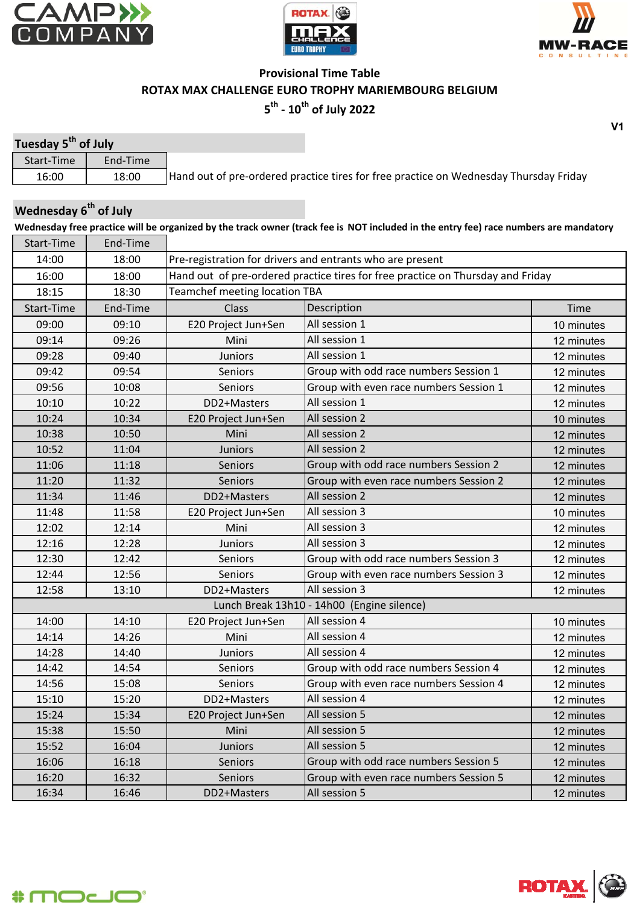





## **Provisional Time Table ROTAX MAX CHALLENGE EURO TROPHY MARIEMBOURG BELGIUM 5th - 10th of July 2022**

| Tuesday 5 <sup>th</sup> of July |          |                                                                                       |
|---------------------------------|----------|---------------------------------------------------------------------------------------|
| Start-Time                      | End-Time |                                                                                       |
| 16:00                           | 18:00    | Hand out of pre-ordered practice tires for free practice on Wednesday Thursday Friday |

## **Wednesday 6th of July**

**Wednesday free practice will be organized by the track owner (track fee is NOT included in the entry fee) race numbers are mandatory** Start-Time End-Time

| JUIL IIIIL | LIIU IIIIL |                                                                                 |                                            |            |  |  |
|------------|------------|---------------------------------------------------------------------------------|--------------------------------------------|------------|--|--|
| 14:00      | 18:00      | Pre-registration for drivers and entrants who are present                       |                                            |            |  |  |
| 16:00      | 18:00      | Hand out of pre-ordered practice tires for free practice on Thursday and Friday |                                            |            |  |  |
| 18:15      | 18:30      | <b>Teamchef meeting location TBA</b>                                            |                                            |            |  |  |
| Start-Time | End-Time   | Class                                                                           | Description                                | Time       |  |  |
| 09:00      | 09:10      | E20 Project Jun+Sen                                                             | All session 1                              | 10 minutes |  |  |
| 09:14      | 09:26      | Mini                                                                            | All session 1                              | 12 minutes |  |  |
| 09:28      | 09:40      | <b>Juniors</b>                                                                  | All session 1                              | 12 minutes |  |  |
| 09:42      | 09:54      | Seniors                                                                         | Group with odd race numbers Session 1      | 12 minutes |  |  |
| 09:56      | 10:08      | <b>Seniors</b>                                                                  | Group with even race numbers Session 1     | 12 minutes |  |  |
| 10:10      | 10:22      | DD2+Masters                                                                     | All session 1                              | 12 minutes |  |  |
| 10:24      | 10:34      | E20 Project Jun+Sen                                                             | All session 2                              | 10 minutes |  |  |
| 10:38      | 10:50      | Mini                                                                            | All session 2                              | 12 minutes |  |  |
| 10:52      | 11:04      | Juniors                                                                         | All session 2                              | 12 minutes |  |  |
| 11:06      | 11:18      | <b>Seniors</b>                                                                  | Group with odd race numbers Session 2      | 12 minutes |  |  |
| 11:20      | 11:32      | Seniors                                                                         | Group with even race numbers Session 2     | 12 minutes |  |  |
| 11:34      | 11:46      | DD2+Masters                                                                     | All session 2                              | 12 minutes |  |  |
| 11:48      | 11:58      | E20 Project Jun+Sen                                                             | All session 3                              | 10 minutes |  |  |
| 12:02      | 12:14      | Mini                                                                            | All session 3                              | 12 minutes |  |  |
| 12:16      | 12:28      | <b>Juniors</b>                                                                  | All session 3                              | 12 minutes |  |  |
| 12:30      | 12:42      | <b>Seniors</b>                                                                  | Group with odd race numbers Session 3      | 12 minutes |  |  |
| 12:44      | 12:56      | <b>Seniors</b>                                                                  | Group with even race numbers Session 3     | 12 minutes |  |  |
| 12:58      | 13:10      | DD2+Masters                                                                     | All session 3                              | 12 minutes |  |  |
|            |            |                                                                                 | Lunch Break 13h10 - 14h00 (Engine silence) |            |  |  |
| 14:00      | 14:10      | E20 Project Jun+Sen                                                             | All session 4                              | 10 minutes |  |  |
| 14:14      | 14:26      | Mini                                                                            | All session 4                              | 12 minutes |  |  |
| 14:28      | 14:40      | Juniors                                                                         | All session 4                              | 12 minutes |  |  |
| 14:42      | 14:54      | <b>Seniors</b>                                                                  | Group with odd race numbers Session 4      | 12 minutes |  |  |
| 14:56      | 15:08      | <b>Seniors</b>                                                                  | Group with even race numbers Session 4     | 12 minutes |  |  |
| 15:10      | 15:20      | DD2+Masters                                                                     | All session 4                              | 12 minutes |  |  |
| 15:24      | 15:34      | E20 Project Jun+Sen                                                             | All session 5                              | 12 minutes |  |  |
| 15:38      | 15:50      | Mini                                                                            | All session 5                              | 12 minutes |  |  |
| 15:52      | 16:04      | <b>Juniors</b>                                                                  | All session 5                              | 12 minutes |  |  |
| 16:06      | 16:18      | Seniors                                                                         | Group with odd race numbers Session 5      | 12 minutes |  |  |
| 16:20      | 16:32      | Seniors                                                                         | Group with even race numbers Session 5     | 12 minutes |  |  |
| 16:34      | 16:46      | DD2+Masters                                                                     | All session 5                              | 12 minutes |  |  |

$$
\textcolor{red}{\textbf{+}}\textbf{mod}\textcolor{red}{\textbf{+}}
$$



**V1**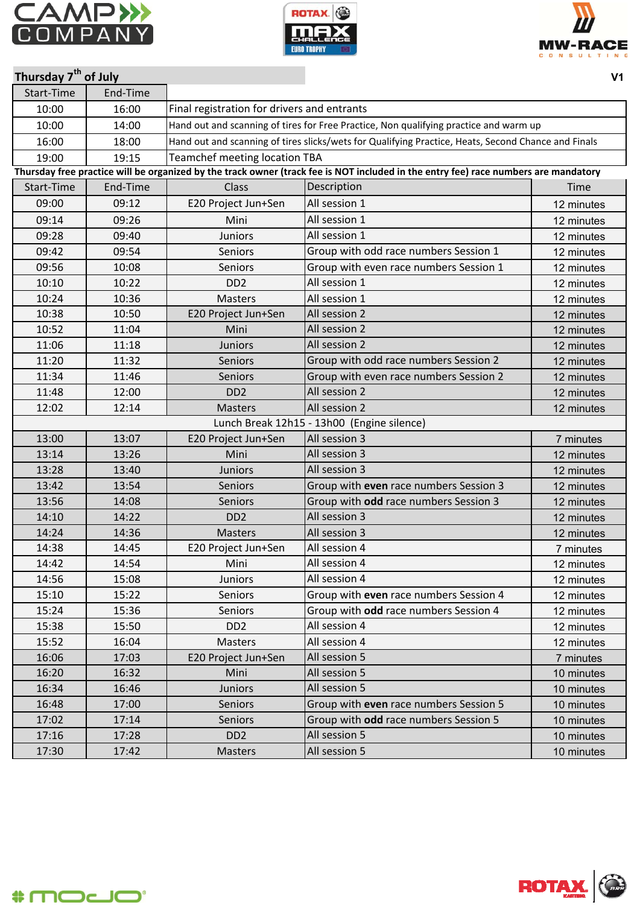





| Thursday 7 <sup>th</sup> of July |          |                                             |                                                                                                                                     | V <sub>1</sub> |  |  |  |
|----------------------------------|----------|---------------------------------------------|-------------------------------------------------------------------------------------------------------------------------------------|----------------|--|--|--|
| Start-Time                       | End-Time |                                             |                                                                                                                                     |                |  |  |  |
| 10:00                            | 16:00    | Final registration for drivers and entrants |                                                                                                                                     |                |  |  |  |
| 10:00                            | 14:00    |                                             | Hand out and scanning of tires for Free Practice, Non qualifying practice and warm up                                               |                |  |  |  |
| 16:00                            | 18:00    |                                             | Hand out and scanning of tires slicks/wets for Qualifying Practice, Heats, Second Chance and Finals                                 |                |  |  |  |
| 19:00                            | 19:15    | <b>Teamchef meeting location TBA</b>        |                                                                                                                                     |                |  |  |  |
|                                  |          |                                             | Thursday free practice will be organized by the track owner (track fee is NOT included in the entry fee) race numbers are mandatory |                |  |  |  |
| Start-Time                       | End-Time | Class                                       | Description                                                                                                                         | Time           |  |  |  |
| 09:00                            | 09:12    | E20 Project Jun+Sen                         | All session 1                                                                                                                       | 12 minutes     |  |  |  |
| 09:14                            | 09:26    | Mini                                        | All session 1                                                                                                                       | 12 minutes     |  |  |  |
| 09:28                            | 09:40    | <b>Juniors</b>                              | All session 1                                                                                                                       | 12 minutes     |  |  |  |
| 09:42                            | 09:54    | <b>Seniors</b>                              | Group with odd race numbers Session 1                                                                                               | 12 minutes     |  |  |  |
| 09:56                            | 10:08    | Seniors                                     | Group with even race numbers Session 1                                                                                              | 12 minutes     |  |  |  |
| 10:10                            | 10:22    | DD <sub>2</sub>                             | All session 1                                                                                                                       | 12 minutes     |  |  |  |
| 10:24                            | 10:36    | <b>Masters</b>                              | All session 1                                                                                                                       | 12 minutes     |  |  |  |
| 10:38                            | 10:50    | E20 Project Jun+Sen                         | All session 2                                                                                                                       | 12 minutes     |  |  |  |
| 10:52                            | 11:04    | Mini                                        | All session 2                                                                                                                       | 12 minutes     |  |  |  |
| 11:06                            | 11:18    | <b>Juniors</b>                              | All session 2                                                                                                                       | 12 minutes     |  |  |  |
| 11:20                            | 11:32    | Seniors                                     | Group with odd race numbers Session 2                                                                                               | 12 minutes     |  |  |  |
| 11:34                            | 11:46    | <b>Seniors</b>                              | Group with even race numbers Session 2                                                                                              | 12 minutes     |  |  |  |
| 11:48                            | 12:00    | D <sub>D</sub> <sub>2</sub>                 | All session 2                                                                                                                       | 12 minutes     |  |  |  |
| 12:02                            | 12:14    | <b>Masters</b>                              | All session 2                                                                                                                       | 12 minutes     |  |  |  |
|                                  |          |                                             | Lunch Break 12h15 - 13h00 (Engine silence)                                                                                          |                |  |  |  |
| 13:00                            | 13:07    | E20 Project Jun+Sen                         | All session 3                                                                                                                       | 7 minutes      |  |  |  |
| 13:14                            | 13:26    | Mini                                        | All session 3                                                                                                                       | 12 minutes     |  |  |  |
| 13:28                            | 13:40    | <b>Juniors</b>                              | All session 3                                                                                                                       | 12 minutes     |  |  |  |
| 13:42                            | 13:54    | <b>Seniors</b>                              | Group with even race numbers Session 3                                                                                              | 12 minutes     |  |  |  |
| 13:56                            | 14:08    | Seniors                                     | Group with odd race numbers Session 3                                                                                               | 12 minutes     |  |  |  |
| 14:10                            | 14:22    | DD <sub>2</sub>                             | All session 3                                                                                                                       | 12 minutes     |  |  |  |
| 14:24                            | 14:36    | <b>Masters</b>                              | All session 3                                                                                                                       | 12 minutes     |  |  |  |
| 14:38                            | 14:45    | E20 Project Jun+Sen                         | All session 4                                                                                                                       | 7 minutes      |  |  |  |
| 14:42                            | 14:54    | Mini                                        | All session 4                                                                                                                       | 12 minutes     |  |  |  |
| 14:56                            | 15:08    | <b>Juniors</b>                              | All session 4                                                                                                                       | 12 minutes     |  |  |  |
| 15:10                            | 15:22    | Seniors                                     | Group with even race numbers Session 4                                                                                              | 12 minutes     |  |  |  |
| 15:24                            | 15:36    | Seniors                                     | Group with odd race numbers Session 4                                                                                               | 12 minutes     |  |  |  |
| 15:38                            | 15:50    | DD <sub>2</sub>                             | All session 4                                                                                                                       | 12 minutes     |  |  |  |
| 15:52                            | 16:04    | Masters                                     | All session 4                                                                                                                       | 12 minutes     |  |  |  |
| 16:06                            | 17:03    | E20 Project Jun+Sen                         | All session 5                                                                                                                       | 7 minutes      |  |  |  |
| 16:20                            | 16:32    | Mini                                        | All session 5                                                                                                                       | 10 minutes     |  |  |  |
| 16:34                            | 16:46    | Juniors                                     | All session 5                                                                                                                       | 10 minutes     |  |  |  |
| 16:48                            | 17:00    | Seniors                                     | Group with even race numbers Session 5                                                                                              | 10 minutes     |  |  |  |
| 17:02                            | 17:14    | Seniors                                     | Group with odd race numbers Session 5                                                                                               | 10 minutes     |  |  |  |
| 17:16                            | 17:28    | DD <sub>2</sub>                             | All session 5                                                                                                                       | 10 minutes     |  |  |  |
| 17:30                            | 17:42    | <b>Masters</b>                              | All session 5                                                                                                                       | 10 minutes     |  |  |  |



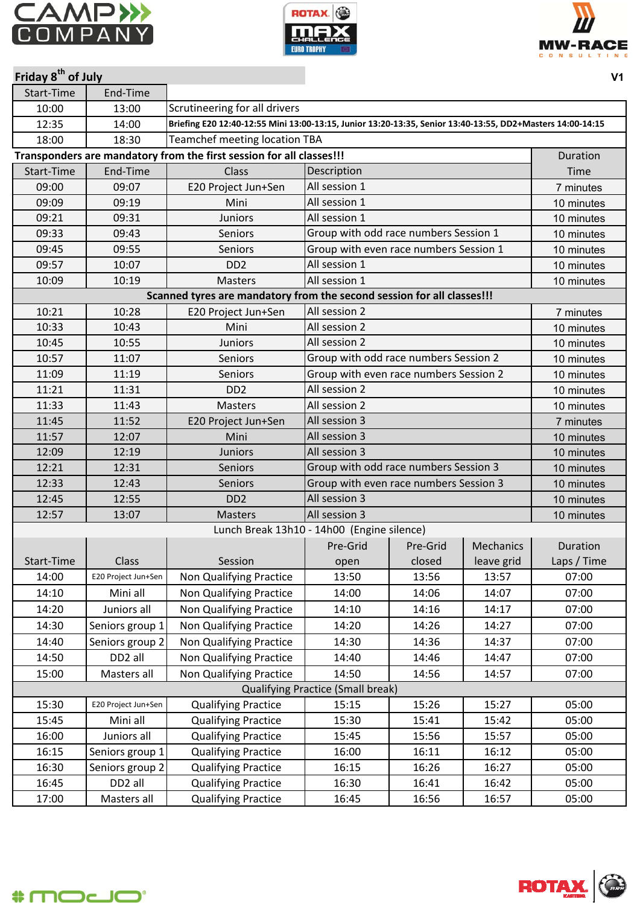

Start-Time End-Time

**Friday 8th of July**





| 10:00      | 13:00               | Scrutineering for all drivers                                                                              |                                          |          |                  |             |
|------------|---------------------|------------------------------------------------------------------------------------------------------------|------------------------------------------|----------|------------------|-------------|
| 12:35      | 14:00               | Briefing E20 12:40-12:55 Mini 13:00-13:15, Junior 13:20-13:35, Senior 13:40-13:55, DD2+Masters 14:00-14:15 |                                          |          |                  |             |
| 18:00      | 18:30               | <b>Teamchef meeting location TBA</b>                                                                       |                                          |          |                  |             |
|            |                     | Transponders are mandatory from the first session for all classes!!!                                       |                                          |          |                  | Duration    |
| Start-Time | End-Time            | Class                                                                                                      | Description                              |          |                  | Time        |
| 09:00      | 09:07               | E20 Project Jun+Sen                                                                                        | All session 1                            |          |                  | 7 minutes   |
| 09:09      | 09:19               | Mini                                                                                                       | All session 1                            |          |                  | 10 minutes  |
| 09:21      | 09:31               | <b>Juniors</b>                                                                                             | All session 1                            |          |                  | 10 minutes  |
| 09:33      | 09:43               | Seniors                                                                                                    | Group with odd race numbers Session 1    |          |                  | 10 minutes  |
| 09:45      | 09:55               | Seniors                                                                                                    | Group with even race numbers Session 1   |          |                  | 10 minutes  |
| 09:57      | 10:07               | D <sub>D</sub> <sub>2</sub>                                                                                | All session 1                            |          |                  | 10 minutes  |
| 10:09      | 10:19               | <b>Masters</b>                                                                                             | All session 1                            |          |                  | 10 minutes  |
|            |                     | Scanned tyres are mandatory from the second session for all classes!!!                                     |                                          |          |                  |             |
| 10:21      | 10:28               | E20 Project Jun+Sen                                                                                        | All session 2                            |          |                  | 7 minutes   |
| 10:33      | 10:43               | Mini                                                                                                       | All session 2                            |          |                  | 10 minutes  |
| 10:45      | 10:55               | <b>Juniors</b>                                                                                             | All session 2                            |          |                  | 10 minutes  |
| 10:57      | 11:07               | Seniors                                                                                                    | Group with odd race numbers Session 2    |          |                  | 10 minutes  |
| 11:09      | 11:19               | <b>Seniors</b>                                                                                             | Group with even race numbers Session 2   |          |                  | 10 minutes  |
| 11:21      | 11:31               | D <sub>D</sub> <sub>2</sub>                                                                                | All session 2                            |          |                  | 10 minutes  |
| 11:33      | 11:43               | <b>Masters</b>                                                                                             | All session 2                            |          |                  | 10 minutes  |
| 11:45      | 11:52               | E20 Project Jun+Sen                                                                                        | All session 3                            |          |                  | 7 minutes   |
| 11:57      | 12:07               | Mini                                                                                                       | All session 3                            |          |                  | 10 minutes  |
| 12:09      | 12:19               | <b>Juniors</b>                                                                                             | All session 3                            |          |                  | 10 minutes  |
| 12:21      | 12:31               | Seniors                                                                                                    | Group with odd race numbers Session 3    |          |                  | 10 minutes  |
| 12:33      | 12:43               | <b>Seniors</b>                                                                                             | Group with even race numbers Session 3   |          |                  | 10 minutes  |
| 12:45      | 12:55               | D <sub>D</sub> <sub>2</sub>                                                                                | All session 3                            |          |                  | 10 minutes  |
| 12:57      | 13:07               | <b>Masters</b>                                                                                             | All session 3                            |          |                  | 10 minutes  |
|            |                     | Lunch Break 13h10 - 14h00 (Engine silence)                                                                 |                                          |          |                  |             |
|            |                     |                                                                                                            | Pre-Grid                                 | Pre-Grid | <b>Mechanics</b> | Duration    |
| Start-Time | Class               | Session                                                                                                    | open                                     | closed   | leave grid       | Laps / Time |
| 14:00      | E20 Project Jun+Sen | Non Qualifying Practice                                                                                    | 13:50                                    | 13:56    | 13:57            | 07:00       |
| 14:10      | Mini all            | <b>Non Qualifying Practice</b>                                                                             | 14:00                                    | 14:06    | 14:07            | 07:00       |
| 14:20      | Juniors all         | Non Qualifying Practice                                                                                    | 14:10                                    | 14:16    | 14:17            | 07:00       |
| 14:30      | Seniors group 1     | Non Qualifying Practice                                                                                    | 14:20                                    | 14:26    | 14:27            | 07:00       |
| 14:40      | Seniors group 2     | Non Qualifying Practice                                                                                    | 14:30                                    | 14:36    | 14:37            | 07:00       |
| 14:50      | DD <sub>2</sub> all | Non Qualifying Practice                                                                                    | 14:40                                    | 14:46    | 14:47            | 07:00       |
| 15:00      | Masters all         | Non Qualifying Practice                                                                                    | 14:50                                    | 14:56    | 14:57            | 07:00       |
|            |                     |                                                                                                            | <b>Qualifying Practice (Small break)</b> |          |                  |             |
| 15:30      | E20 Project Jun+Sen | <b>Qualifying Practice</b>                                                                                 | 15:15                                    | 15:26    | 15:27            | 05:00       |
| 15:45      | Mini all            | <b>Qualifying Practice</b>                                                                                 | 15:30                                    | 15:41    | 15:42            | 05:00       |
| 16:00      | Juniors all         | <b>Qualifying Practice</b>                                                                                 | 15:45                                    | 15:56    | 15:57            | 05:00       |
| 16:15      | Seniors group 1     | <b>Qualifying Practice</b>                                                                                 | 16:00                                    | 16:11    | 16:12            | 05:00       |
| 16:30      | Seniors group 2     | <b>Qualifying Practice</b>                                                                                 | 16:15                                    | 16:26    | 16:27            | 05:00       |
| 16:45      | DD <sub>2</sub> all | <b>Qualifying Practice</b>                                                                                 | 16:30                                    | 16:41    | 16:42            | 05:00       |
| 17:00      | Masters all         | <b>Qualifying Practice</b>                                                                                 | 16:45                                    | 16:56    | 16:57            | 05:00       |

$$
*m\text{-}\text{-}\text{-}
$$



**V1**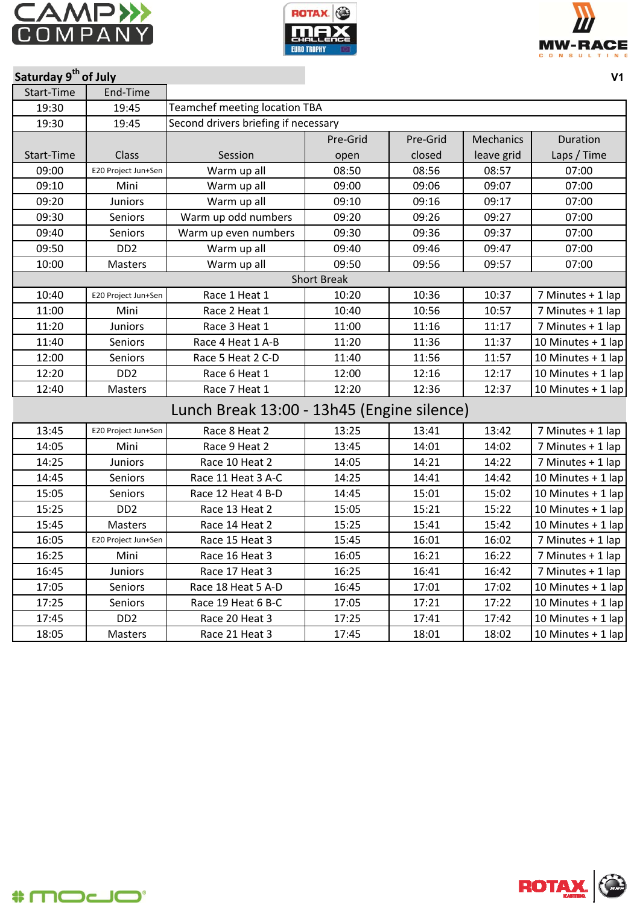





|  | Saturday 9 <sup>th</sup> of July |  |
|--|----------------------------------|--|
|--|----------------------------------|--|

| Saturday 9 <sup>th</sup> of July |                             |                                            |                    |          |            | V <sub>1</sub>     |
|----------------------------------|-----------------------------|--------------------------------------------|--------------------|----------|------------|--------------------|
| Start-Time                       | End-Time                    |                                            |                    |          |            |                    |
| 19:30                            | 19:45                       | <b>Teamchef meeting location TBA</b>       |                    |          |            |                    |
| 19:30                            | 19:45                       | Second drivers briefing if necessary       |                    |          |            |                    |
|                                  |                             |                                            | Pre-Grid           | Pre-Grid | Mechanics  | Duration           |
| Start-Time                       | Class                       | Session                                    | open               | closed   | leave grid | Laps / Time        |
| 09:00                            | E20 Project Jun+Sen         | Warm up all                                | 08:50              | 08:56    | 08:57      | 07:00              |
| 09:10                            | Mini                        | Warm up all                                | 09:00              | 09:06    | 09:07      | 07:00              |
| 09:20                            | <b>Juniors</b>              | Warm up all                                | 09:10              | 09:16    | 09:17      | 07:00              |
| 09:30                            | Seniors                     | Warm up odd numbers                        | 09:20              | 09:26    | 09:27      | 07:00              |
| 09:40                            | Seniors                     | Warm up even numbers                       | 09:30              | 09:36    | 09:37      | 07:00              |
| 09:50                            | D <sub>D</sub> 2            | Warm up all                                | 09:40              | 09:46    | 09:47      | 07:00              |
| 10:00                            | Masters                     | Warm up all                                | 09:50              | 09:56    | 09:57      | 07:00              |
|                                  |                             |                                            | <b>Short Break</b> |          |            |                    |
| 10:40                            | E20 Project Jun+Sen         | Race 1 Heat 1                              | 10:20              | 10:36    | 10:37      | 7 Minutes + 1 lap  |
| 11:00                            | Mini                        | Race 2 Heat 1                              | 10:40              | 10:56    | 10:57      | 7 Minutes + 1 lap  |
| 11:20                            | Juniors                     | Race 3 Heat 1                              | 11:00              | 11:16    | 11:17      | 7 Minutes + 1 lap  |
| 11:40                            | Seniors                     | Race 4 Heat 1 A-B                          | 11:20              | 11:36    | 11:37      | 10 Minutes + 1 lap |
| 12:00                            | Seniors                     | Race 5 Heat 2 C-D                          | 11:40              | 11:56    | 11:57      | 10 Minutes + 1 lap |
| 12:20                            | D <sub>D</sub> <sub>2</sub> | Race 6 Heat 1                              | 12:00              | 12:16    | 12:17      | 10 Minutes + 1 lap |
| 12:40                            | Masters                     | Race 7 Heat 1                              | 12:20              | 12:36    | 12:37      | 10 Minutes + 1 lap |
|                                  |                             | Lunch Break 13:00 - 13h45 (Engine silence) |                    |          |            |                    |
| 13:45                            | E20 Project Jun+Sen         | Race 8 Heat 2                              | 13:25              | 13:41    | 13:42      | 7 Minutes + 1 lap  |
| 14:05                            | Mini                        | Race 9 Heat 2                              | 13:45              | 14:01    | 14:02      | 7 Minutes + 1 lap  |
| 14:25                            | Juniors                     | Race 10 Heat 2                             | 14:05              | 14:21    | 14:22      | 7 Minutes + 1 lap  |
| 14:45                            | Seniors                     | Race 11 Heat 3 A-C                         | 14:25              | 14:41    | 14:42      | 10 Minutes + 1 lap |
| 15:05                            | Seniors                     | Race 12 Heat 4 B-D                         | 14:45              | 15:01    | 15:02      | 10 Minutes + 1 lap |
| 15:25                            | D <sub>D</sub> 2            | Race 13 Heat 2                             | 15:05              | 15:21    | 15:22      | 10 Minutes + 1 lap |
| 15:45                            | Masters                     | Race 14 Heat 2                             | 15:25              | 15:41    | 15:42      | 10 Minutes + 1 lap |
| 16:05                            | E20 Project Jun+Sen         | Race 15 Heat 3                             | 15:45              | 16:01    | 16:02      | 7 Minutes + 1 lap  |
| 16:25                            | Mini                        | Race 16 Heat 3                             | 16:05              | 16:21    | 16:22      | 7 Minutes + 1 lap  |
| 16:45                            | <b>Juniors</b>              | Race 17 Heat 3                             | 16:25              | 16:41    | 16:42      | 7 Minutes + 1 lap  |
| 17:05                            | Seniors                     | Race 18 Heat 5 A-D                         | 16:45              | 17:01    | 17:02      | 10 Minutes + 1 lap |
| 17:25                            | Seniors                     | Race 19 Heat 6 B-C                         | 17:05              | 17:21    | 17:22      | 10 Minutes + 1 lap |
| 17:45                            | DD <sub>2</sub>             | Race 20 Heat 3                             | 17:25              | 17:41    | 17:42      | 10 Minutes + 1 lap |
| 18:05                            | Masters                     | Race 21 Heat 3                             | 17:45              | 18:01    | 18:02      | 10 Minutes + 1 lap |